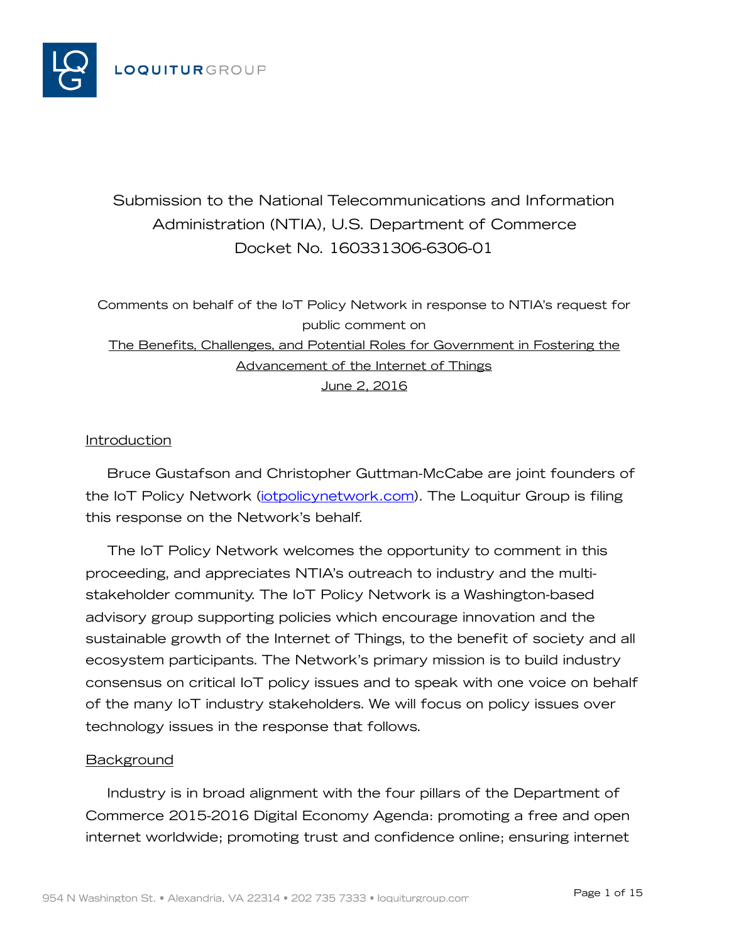

# Submission to the National Telecommunications and Information Administration (NTIA), U.S. Department of Commerce Docket No. 160331306-6306-01

Comments on behalf of the IoT Policy Network in response to NTIA's request for public comment on The Benefits, Challenges, and Potential Roles for Government in Fostering the Advancement of the Internet of Things June 2, 2016

## Introduction

Bruce Gustafson and Christopher Guttman-McCabe are joint founders of the IoT Policy Network (*iotpolicynetwork.com*). The Loquitur Group is filing this response on the Network's behalf.

The IoT Policy Network welcomes the opportunity to comment in this proceeding, and appreciates NTIA's outreach to industry and the multistakeholder community. The IoT Policy Network is a Washington-based advisory group supporting policies which encourage innovation and the sustainable growth of the Internet of Things, to the benefit of society and all ecosystem participants. The Network's primary mission is to build industry consensus on critical IoT policy issues and to speak with one voice on behalf of the many IoT industry stakeholders. We will focus on policy issues over technology issues in the response that follows.

## **Background**

Industry is in broad alignment with the four pillars of the Department of Commerce 2015-2016 Digital Economy Agenda: promoting a free and open internet worldwide; promoting trust and confidence online; ensuring internet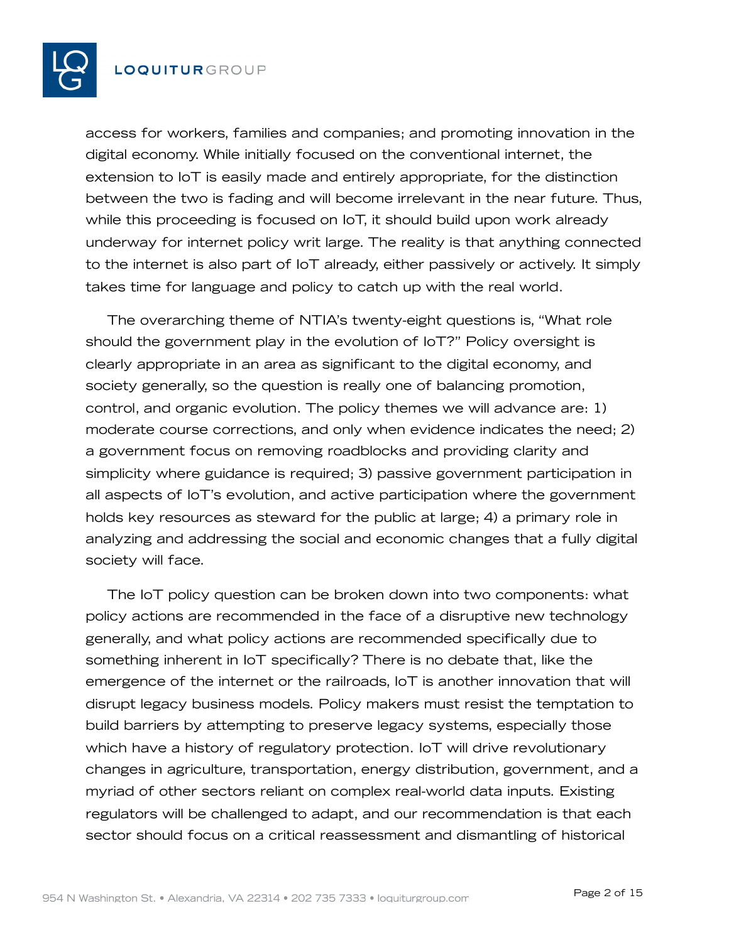

access for workers, families and companies; and promoting innovation in the digital economy. While initially focused on the conventional internet, the extension to IoT is easily made and entirely appropriate, for the distinction between the two is fading and will become irrelevant in the near future. Thus, while this proceeding is focused on IoT, it should build upon work already underway for internet policy writ large. The reality is that anything connected to the internet is also part of IoT already, either passively or actively. It simply takes time for language and policy to catch up with the real world.

The overarching theme of NTIA's twenty-eight questions is, "What role should the government play in the evolution of IoT?" Policy oversight is clearly appropriate in an area as significant to the digital economy, and society generally, so the question is really one of balancing promotion, control, and organic evolution. The policy themes we will advance are: 1) moderate course corrections, and only when evidence indicates the need; 2) a government focus on removing roadblocks and providing clarity and simplicity where guidance is required; 3) passive government participation in all aspects of IoT's evolution, and active participation where the government holds key resources as steward for the public at large; 4) a primary role in analyzing and addressing the social and economic changes that a fully digital society will face.

The IoT policy question can be broken down into two components: what policy actions are recommended in the face of a disruptive new technology generally, and what policy actions are recommended specifically due to something inherent in IoT specifically? There is no debate that, like the emergence of the internet or the railroads, IoT is another innovation that will disrupt legacy business models. Policy makers must resist the temptation to build barriers by attempting to preserve legacy systems, especially those which have a history of regulatory protection. IoT will drive revolutionary changes in agriculture, transportation, energy distribution, government, and a myriad of other sectors reliant on complex real-world data inputs. Existing regulators will be challenged to adapt, and our recommendation is that each sector should focus on a critical reassessment and dismantling of historical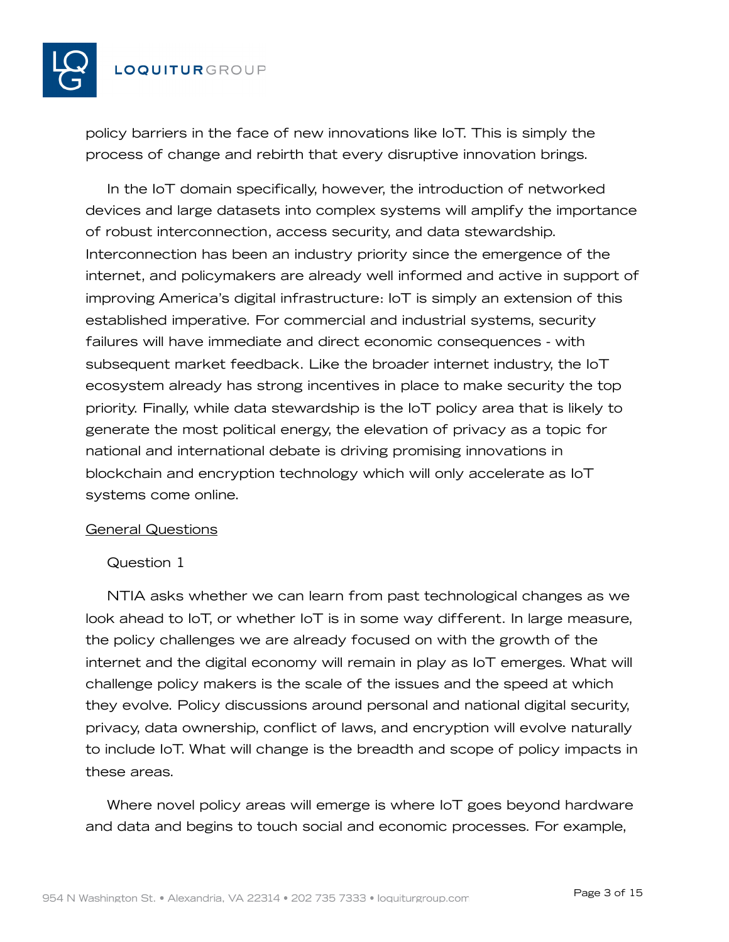

policy barriers in the face of new innovations like IoT. This is simply the process of change and rebirth that every disruptive innovation brings.

In the IoT domain specifically, however, the introduction of networked devices and large datasets into complex systems will amplify the importance of robust interconnection, access security, and data stewardship. Interconnection has been an industry priority since the emergence of the internet, and policymakers are already well informed and active in support of improving America's digital infrastructure: IoT is simply an extension of this established imperative. For commercial and industrial systems, security failures will have immediate and direct economic consequences - with subsequent market feedback. Like the broader internet industry, the IoT ecosystem already has strong incentives in place to make security the top priority. Finally, while data stewardship is the IoT policy area that is likely to generate the most political energy, the elevation of privacy as a topic for national and international debate is driving promising innovations in blockchain and encryption technology which will only accelerate as IoT systems come online.

## General Questions

## Question 1

NTIA asks whether we can learn from past technological changes as we look ahead to IoT, or whether IoT is in some way different. In large measure, the policy challenges we are already focused on with the growth of the internet and the digital economy will remain in play as IoT emerges. What will challenge policy makers is the scale of the issues and the speed at which they evolve. Policy discussions around personal and national digital security, privacy, data ownership, conflict of laws, and encryption will evolve naturally to include IoT. What will change is the breadth and scope of policy impacts in these areas.

Where novel policy areas will emerge is where IoT goes beyond hardware and data and begins to touch social and economic processes. For example,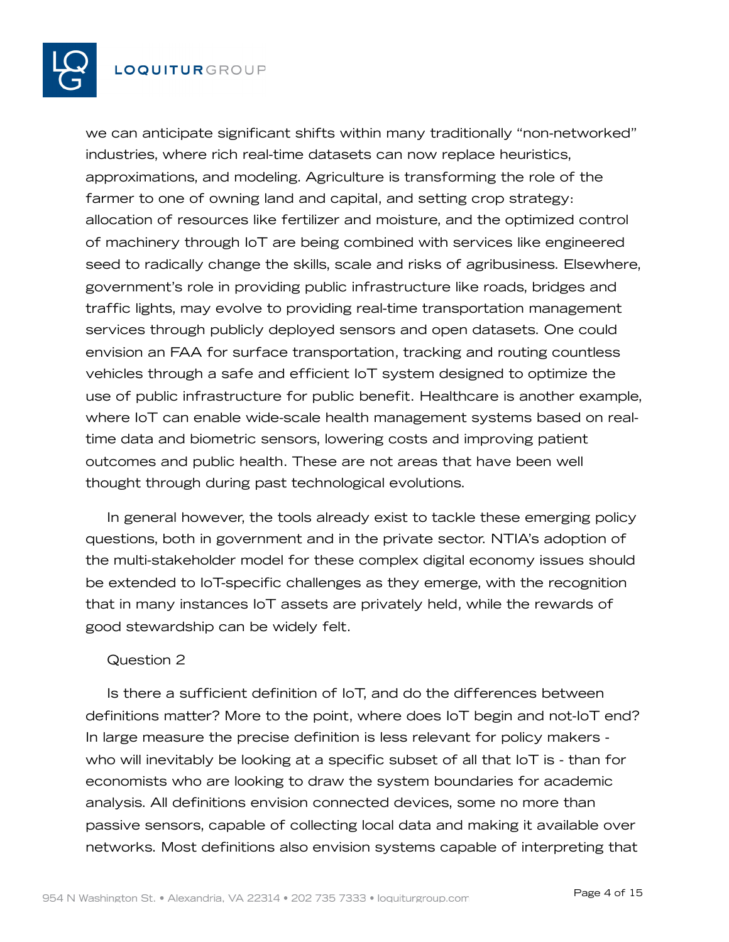

we can anticipate significant shifts within many traditionally "non-networked" industries, where rich real-time datasets can now replace heuristics, approximations, and modeling. Agriculture is transforming the role of the farmer to one of owning land and capital, and setting crop strategy: allocation of resources like fertilizer and moisture, and the optimized control of machinery through IoT are being combined with services like engineered seed to radically change the skills, scale and risks of agribusiness. Elsewhere, government's role in providing public infrastructure like roads, bridges and traffic lights, may evolve to providing real-time transportation management services through publicly deployed sensors and open datasets. One could envision an FAA for surface transportation, tracking and routing countless vehicles through a safe and efficient IoT system designed to optimize the use of public infrastructure for public benefit. Healthcare is another example, where IoT can enable wide-scale health management systems based on realtime data and biometric sensors, lowering costs and improving patient outcomes and public health. These are not areas that have been well thought through during past technological evolutions.

In general however, the tools already exist to tackle these emerging policy questions, both in government and in the private sector. NTIA's adoption of the multi-stakeholder model for these complex digital economy issues should be extended to IoT-specific challenges as they emerge, with the recognition that in many instances IoT assets are privately held, while the rewards of good stewardship can be widely felt.

## Question 2

Is there a sufficient definition of IoT, and do the differences between definitions matter? More to the point, where does IoT begin and not-IoT end? In large measure the precise definition is less relevant for policy makers who will inevitably be looking at a specific subset of all that IoT is - than for economists who are looking to draw the system boundaries for academic analysis. All definitions envision connected devices, some no more than passive sensors, capable of collecting local data and making it available over networks. Most definitions also envision systems capable of interpreting that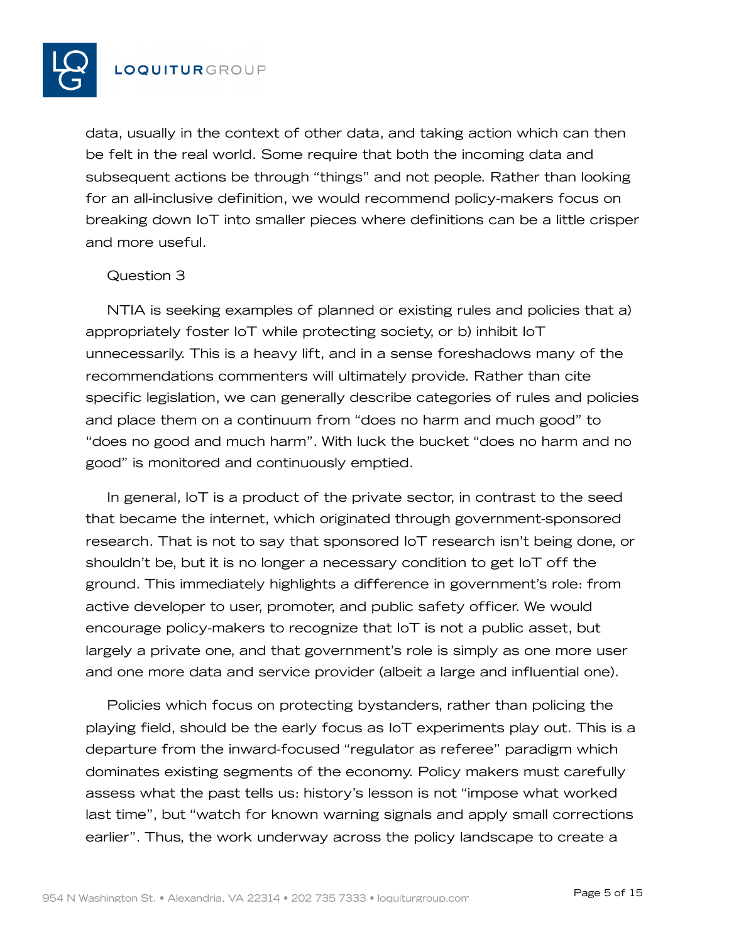

data, usually in the context of other data, and taking action which can then be felt in the real world. Some require that both the incoming data and subsequent actions be through "things" and not people. Rather than looking for an all-inclusive definition, we would recommend policy-makers focus on breaking down IoT into smaller pieces where definitions can be a little crisper and more useful.

#### Question 3

NTIA is seeking examples of planned or existing rules and policies that a) appropriately foster IoT while protecting society, or b) inhibit IoT unnecessarily. This is a heavy lift, and in a sense foreshadows many of the recommendations commenters will ultimately provide. Rather than cite specific legislation, we can generally describe categories of rules and policies and place them on a continuum from "does no harm and much good" to "does no good and much harm". With luck the bucket "does no harm and no good" is monitored and continuously emptied.

In general, IoT is a product of the private sector, in contrast to the seed that became the internet, which originated through government-sponsored research. That is not to say that sponsored IoT research isn't being done, or shouldn't be, but it is no longer a necessary condition to get IoT off the ground. This immediately highlights a difference in government's role: from active developer to user, promoter, and public safety officer. We would encourage policy-makers to recognize that IoT is not a public asset, but largely a private one, and that government's role is simply as one more user and one more data and service provider (albeit a large and influential one).

Policies which focus on protecting bystanders, rather than policing the playing field, should be the early focus as IoT experiments play out. This is a departure from the inward-focused "regulator as referee" paradigm which dominates existing segments of the economy. Policy makers must carefully assess what the past tells us: history's lesson is not "impose what worked last time", but "watch for known warning signals and apply small corrections earlier". Thus, the work underway across the policy landscape to create a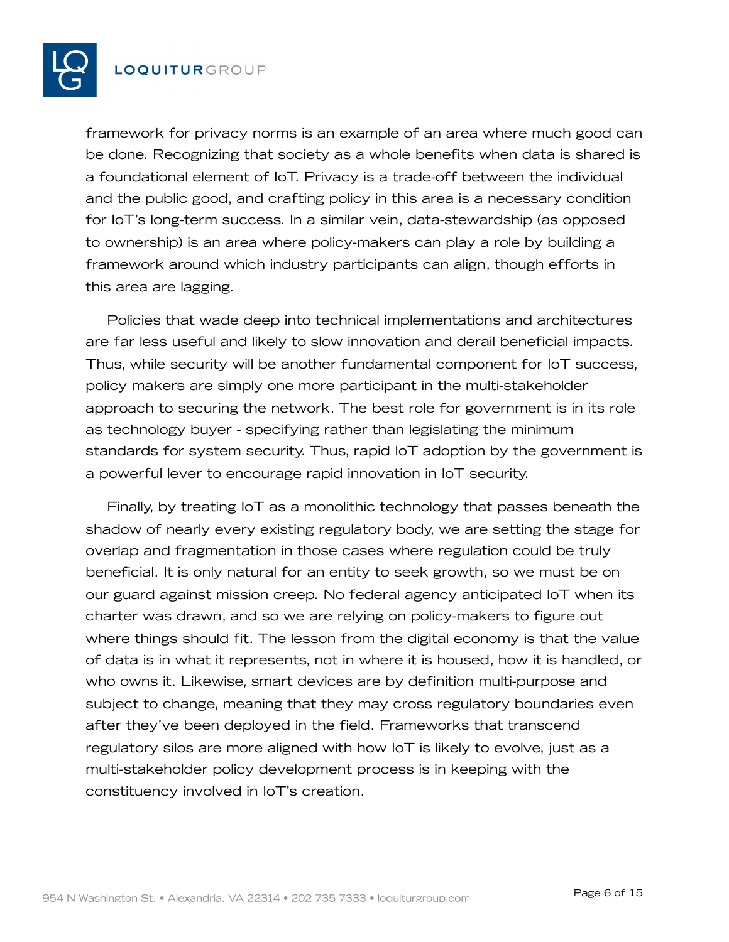

framework for privacy norms is an example of an area where much good can be done. Recognizing that society as a whole benefits when data is shared is a foundational element of IoT. Privacy is a trade-off between the individual and the public good, and crafting policy in this area is a necessary condition for IoT's long-term success. In a similar vein, data-stewardship (as opposed to ownership) is an area where policy-makers can play a role by building a framework around which industry participants can align, though efforts in this area are lagging.

Policies that wade deep into technical implementations and architectures are far less useful and likely to slow innovation and derail beneficial impacts. Thus, while security will be another fundamental component for IoT success, policy makers are simply one more participant in the multi-stakeholder approach to securing the network. The best role for government is in its role as technology buyer - specifying rather than legislating the minimum standards for system security. Thus, rapid IoT adoption by the government is a powerful lever to encourage rapid innovation in IoT security.

Finally, by treating IoT as a monolithic technology that passes beneath the shadow of nearly every existing regulatory body, we are setting the stage for overlap and fragmentation in those cases where regulation could be truly beneficial. It is only natural for an entity to seek growth, so we must be on our guard against mission creep. No federal agency anticipated IoT when its charter was drawn, and so we are relying on policy-makers to figure out where things should fit. The lesson from the digital economy is that the value of data is in what it represents, not in where it is housed, how it is handled, or who owns it. Likewise, smart devices are by definition multi-purpose and subject to change, meaning that they may cross regulatory boundaries even after they've been deployed in the field. Frameworks that transcend regulatory silos are more aligned with how IoT is likely to evolve, just as a multi-stakeholder policy development process is in keeping with the constituency involved in IoT's creation.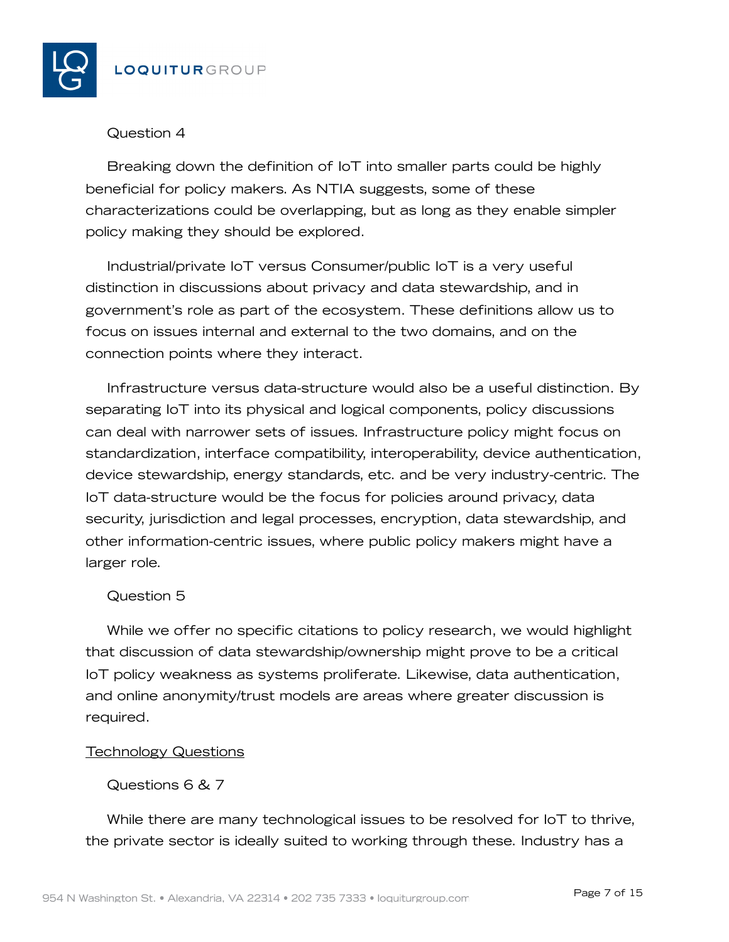

# Question 4

Breaking down the definition of IoT into smaller parts could be highly beneficial for policy makers. As NTIA suggests, some of these characterizations could be overlapping, but as long as they enable simpler policy making they should be explored.

Industrial/private IoT versus Consumer/public IoT is a very useful distinction in discussions about privacy and data stewardship, and in government's role as part of the ecosystem. These definitions allow us to focus on issues internal and external to the two domains, and on the connection points where they interact.

Infrastructure versus data-structure would also be a useful distinction. By separating IoT into its physical and logical components, policy discussions can deal with narrower sets of issues. Infrastructure policy might focus on standardization, interface compatibility, interoperability, device authentication, device stewardship, energy standards, etc. and be very industry-centric. The IoT data-structure would be the focus for policies around privacy, data security, jurisdiction and legal processes, encryption, data stewardship, and other information-centric issues, where public policy makers might have a larger role.

# Question 5

While we offer no specific citations to policy research, we would highlight that discussion of data stewardship/ownership might prove to be a critical IoT policy weakness as systems proliferate. Likewise, data authentication, and online anonymity/trust models are areas where greater discussion is required.

## Technology Questions

# Questions 6 & 7

While there are many technological issues to be resolved for IoT to thrive, the private sector is ideally suited to working through these. Industry has a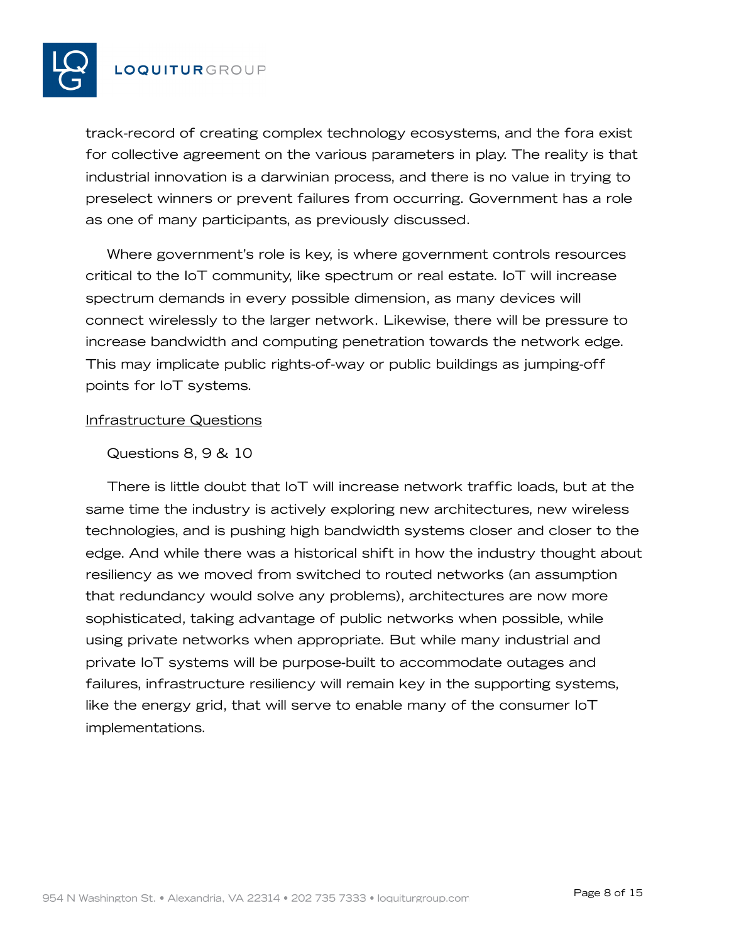

track-record of creating complex technology ecosystems, and the fora exist for collective agreement on the various parameters in play. The reality is that industrial innovation is a darwinian process, and there is no value in trying to preselect winners or prevent failures from occurring. Government has a role as one of many participants, as previously discussed.

Where government's role is key, is where government controls resources critical to the IoT community, like spectrum or real estate. IoT will increase spectrum demands in every possible dimension, as many devices will connect wirelessly to the larger network. Likewise, there will be pressure to increase bandwidth and computing penetration towards the network edge. This may implicate public rights-of-way or public buildings as jumping-off points for IoT systems.

#### Infrastructure Questions

#### Questions 8, 9 & 10

There is little doubt that IoT will increase network traffic loads, but at the same time the industry is actively exploring new architectures, new wireless technologies, and is pushing high bandwidth systems closer and closer to the edge. And while there was a historical shift in how the industry thought about resiliency as we moved from switched to routed networks (an assumption that redundancy would solve any problems), architectures are now more sophisticated, taking advantage of public networks when possible, while using private networks when appropriate. But while many industrial and private IoT systems will be purpose-built to accommodate outages and failures, infrastructure resiliency will remain key in the supporting systems, like the energy grid, that will serve to enable many of the consumer IoT implementations.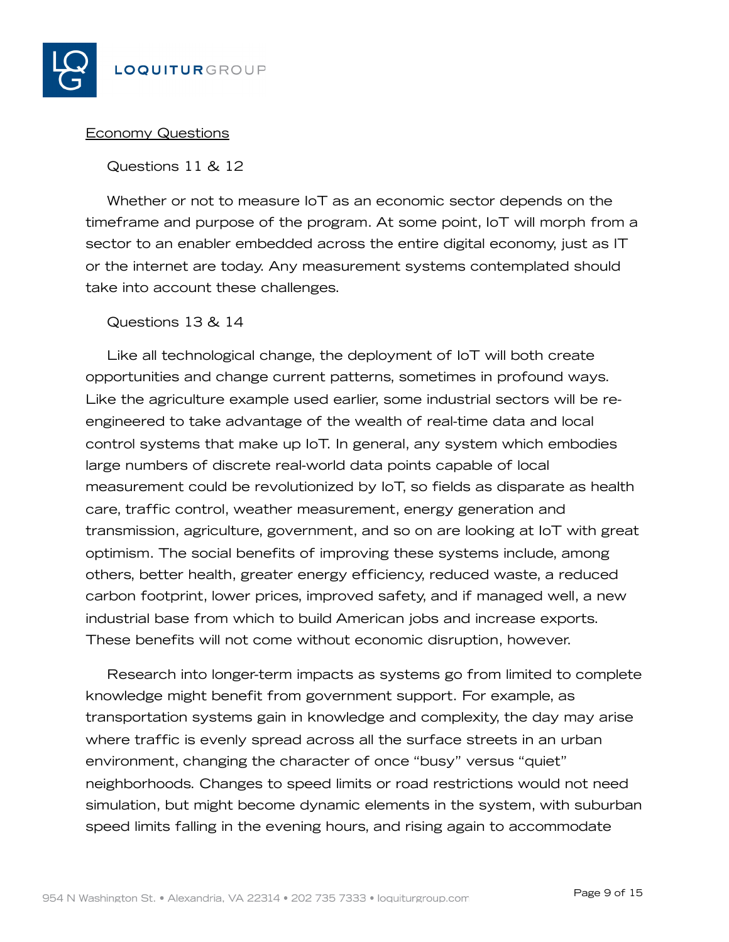

## Economy Questions

## Questions 11 & 12

Whether or not to measure IoT as an economic sector depends on the timeframe and purpose of the program. At some point, IoT will morph from a sector to an enabler embedded across the entire digital economy, just as IT or the internet are today. Any measurement systems contemplated should take into account these challenges.

## Questions 13 & 14

Like all technological change, the deployment of IoT will both create opportunities and change current patterns, sometimes in profound ways. Like the agriculture example used earlier, some industrial sectors will be reengineered to take advantage of the wealth of real-time data and local control systems that make up IoT. In general, any system which embodies large numbers of discrete real-world data points capable of local measurement could be revolutionized by IoT, so fields as disparate as health care, traffic control, weather measurement, energy generation and transmission, agriculture, government, and so on are looking at IoT with great optimism. The social benefits of improving these systems include, among others, better health, greater energy efficiency, reduced waste, a reduced carbon footprint, lower prices, improved safety, and if managed well, a new industrial base from which to build American jobs and increase exports. These benefits will not come without economic disruption, however.

Research into longer-term impacts as systems go from limited to complete knowledge might benefit from government support. For example, as transportation systems gain in knowledge and complexity, the day may arise where traffic is evenly spread across all the surface streets in an urban environment, changing the character of once "busy" versus "quiet" neighborhoods. Changes to speed limits or road restrictions would not need simulation, but might become dynamic elements in the system, with suburban speed limits falling in the evening hours, and rising again to accommodate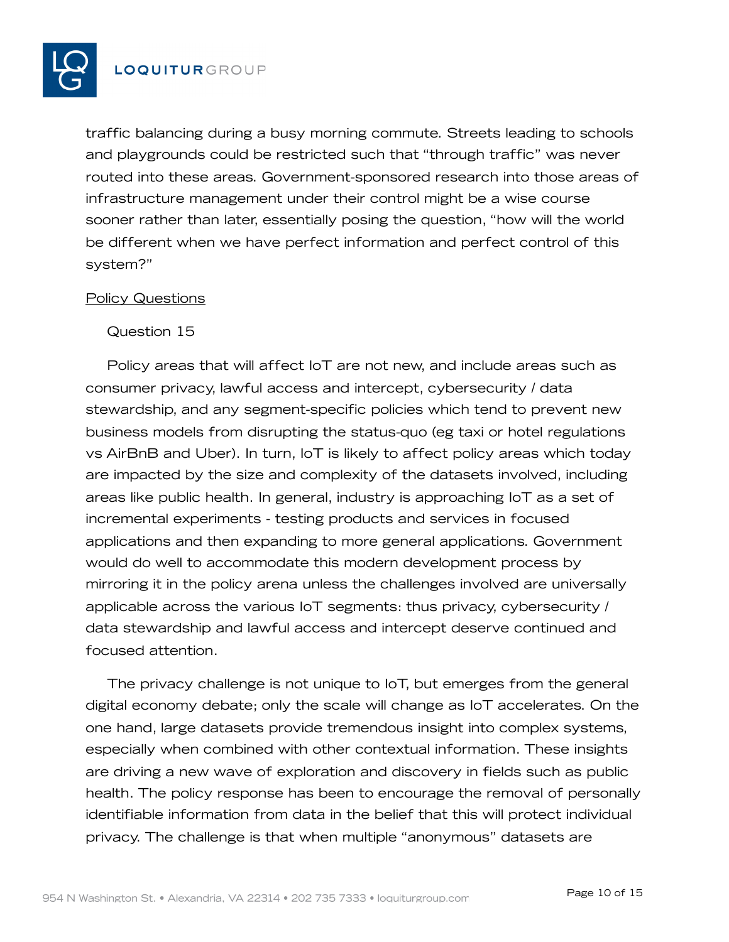

traffic balancing during a busy morning commute. Streets leading to schools and playgrounds could be restricted such that "through traffic" was never routed into these areas. Government-sponsored research into those areas of infrastructure management under their control might be a wise course sooner rather than later, essentially posing the question, "how will the world be different when we have perfect information and perfect control of this system?"

#### Policy Questions

#### Question 15

Policy areas that will affect IoT are not new, and include areas such as consumer privacy, lawful access and intercept, cybersecurity / data stewardship, and any segment-specific policies which tend to prevent new business models from disrupting the status-quo (eg taxi or hotel regulations vs AirBnB and Uber). In turn, IoT is likely to affect policy areas which today are impacted by the size and complexity of the datasets involved, including areas like public health. In general, industry is approaching IoT as a set of incremental experiments - testing products and services in focused applications and then expanding to more general applications. Government would do well to accommodate this modern development process by mirroring it in the policy arena unless the challenges involved are universally applicable across the various IoT segments: thus privacy, cybersecurity / data stewardship and lawful access and intercept deserve continued and focused attention.

The privacy challenge is not unique to IoT, but emerges from the general digital economy debate; only the scale will change as IoT accelerates. On the one hand, large datasets provide tremendous insight into complex systems, especially when combined with other contextual information. These insights are driving a new wave of exploration and discovery in fields such as public health. The policy response has been to encourage the removal of personally identifiable information from data in the belief that this will protect individual privacy. The challenge is that when multiple "anonymous" datasets are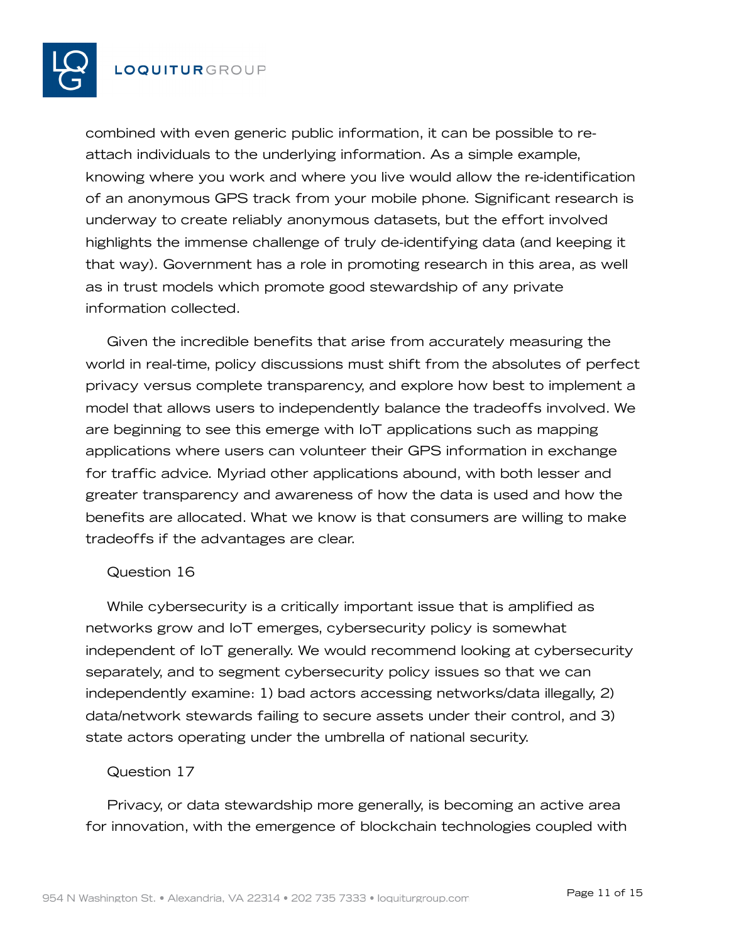

combined with even generic public information, it can be possible to reattach individuals to the underlying information. As a simple example, knowing where you work and where you live would allow the re-identification of an anonymous GPS track from your mobile phone. Significant research is underway to create reliably anonymous datasets, but the effort involved highlights the immense challenge of truly de-identifying data (and keeping it that way). Government has a role in promoting research in this area, as well as in trust models which promote good stewardship of any private information collected.

Given the incredible benefits that arise from accurately measuring the world in real-time, policy discussions must shift from the absolutes of perfect privacy versus complete transparency, and explore how best to implement a model that allows users to independently balance the tradeoffs involved. We are beginning to see this emerge with IoT applications such as mapping applications where users can volunteer their GPS information in exchange for traffic advice. Myriad other applications abound, with both lesser and greater transparency and awareness of how the data is used and how the benefits are allocated. What we know is that consumers are willing to make tradeoffs if the advantages are clear.

#### Question 16

While cybersecurity is a critically important issue that is amplified as networks grow and IoT emerges, cybersecurity policy is somewhat independent of IoT generally. We would recommend looking at cybersecurity separately, and to segment cybersecurity policy issues so that we can independently examine: 1) bad actors accessing networks/data illegally, 2) data/network stewards failing to secure assets under their control, and 3) state actors operating under the umbrella of national security.

#### Question 17

Privacy, or data stewardship more generally, is becoming an active area for innovation, with the emergence of blockchain technologies coupled with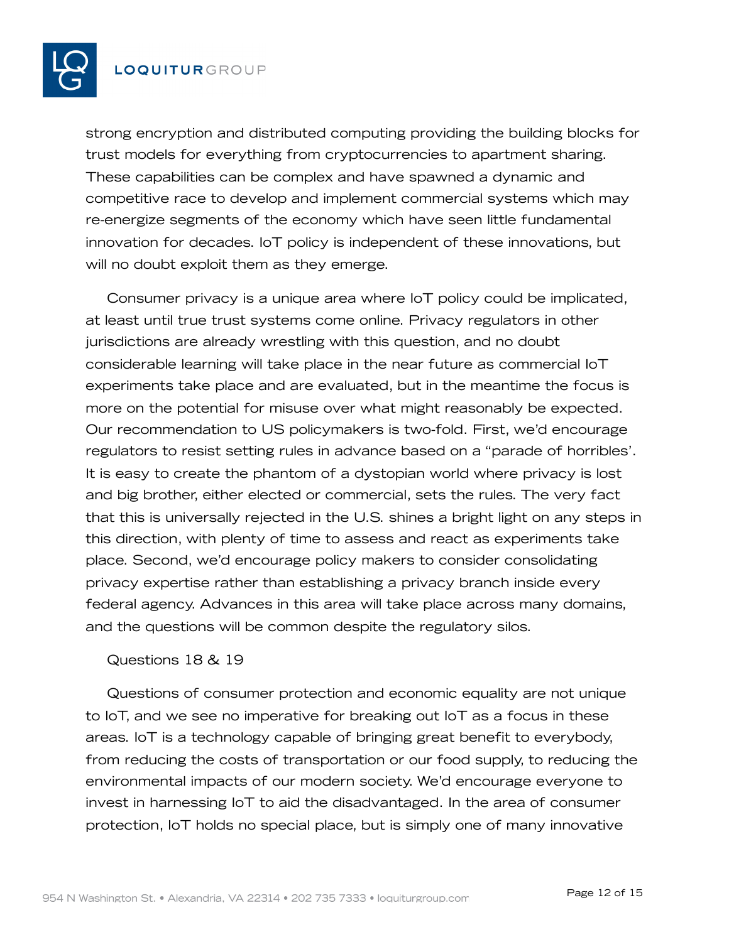

strong encryption and distributed computing providing the building blocks for trust models for everything from cryptocurrencies to apartment sharing. These capabilities can be complex and have spawned a dynamic and competitive race to develop and implement commercial systems which may re-energize segments of the economy which have seen little fundamental innovation for decades. IoT policy is independent of these innovations, but will no doubt exploit them as they emerge.

Consumer privacy is a unique area where IoT policy could be implicated, at least until true trust systems come online. Privacy regulators in other jurisdictions are already wrestling with this question, and no doubt considerable learning will take place in the near future as commercial IoT experiments take place and are evaluated, but in the meantime the focus is more on the potential for misuse over what might reasonably be expected. Our recommendation to US policymakers is two-fold. First, we'd encourage regulators to resist setting rules in advance based on a "parade of horribles'. It is easy to create the phantom of a dystopian world where privacy is lost and big brother, either elected or commercial, sets the rules. The very fact that this is universally rejected in the U.S. shines a bright light on any steps in this direction, with plenty of time to assess and react as experiments take place. Second, we'd encourage policy makers to consider consolidating privacy expertise rather than establishing a privacy branch inside every federal agency. Advances in this area will take place across many domains, and the questions will be common despite the regulatory silos.

#### Questions 18 & 19

Questions of consumer protection and economic equality are not unique to IoT, and we see no imperative for breaking out IoT as a focus in these areas. IoT is a technology capable of bringing great benefit to everybody, from reducing the costs of transportation or our food supply, to reducing the environmental impacts of our modern society. We'd encourage everyone to invest in harnessing IoT to aid the disadvantaged. In the area of consumer protection, IoT holds no special place, but is simply one of many innovative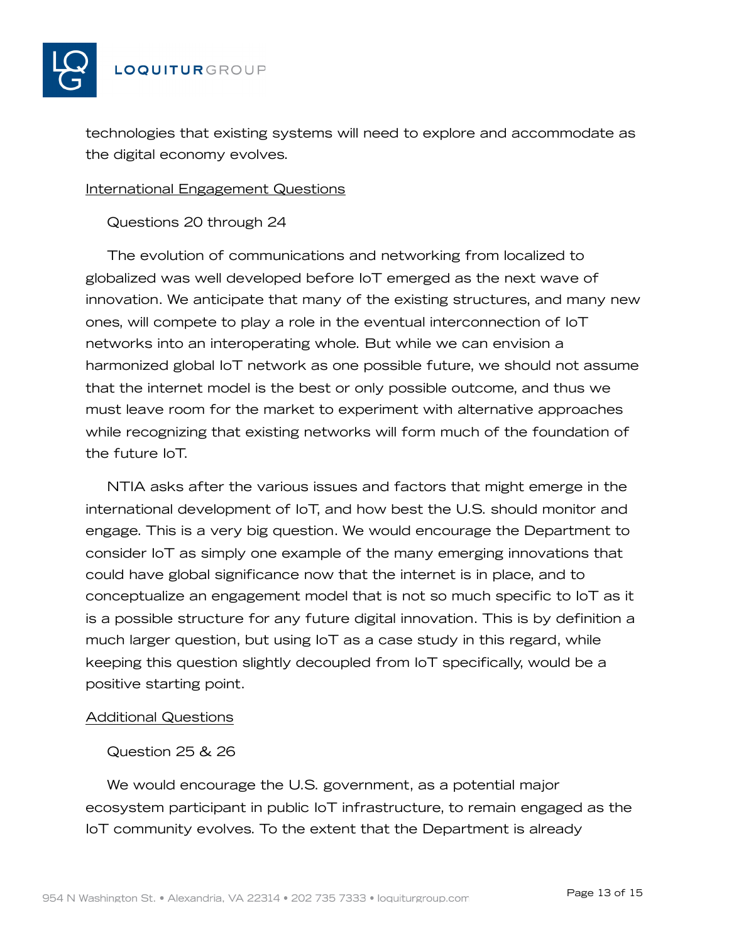

technologies that existing systems will need to explore and accommodate as the digital economy evolves.

#### International Engagement Questions

Questions 20 through 24

The evolution of communications and networking from localized to globalized was well developed before IoT emerged as the next wave of innovation. We anticipate that many of the existing structures, and many new ones, will compete to play a role in the eventual interconnection of IoT networks into an interoperating whole. But while we can envision a harmonized global IoT network as one possible future, we should not assume that the internet model is the best or only possible outcome, and thus we must leave room for the market to experiment with alternative approaches while recognizing that existing networks will form much of the foundation of the future IoT.

NTIA asks after the various issues and factors that might emerge in the international development of IoT, and how best the U.S. should monitor and engage. This is a very big question. We would encourage the Department to consider IoT as simply one example of the many emerging innovations that could have global significance now that the internet is in place, and to conceptualize an engagement model that is not so much specific to IoT as it is a possible structure for any future digital innovation. This is by definition a much larger question, but using IoT as a case study in this regard, while keeping this question slightly decoupled from IoT specifically, would be a positive starting point.

## Additional Questions

## Question 25 & 26

We would encourage the U.S. government, as a potential major ecosystem participant in public IoT infrastructure, to remain engaged as the IoT community evolves. To the extent that the Department is already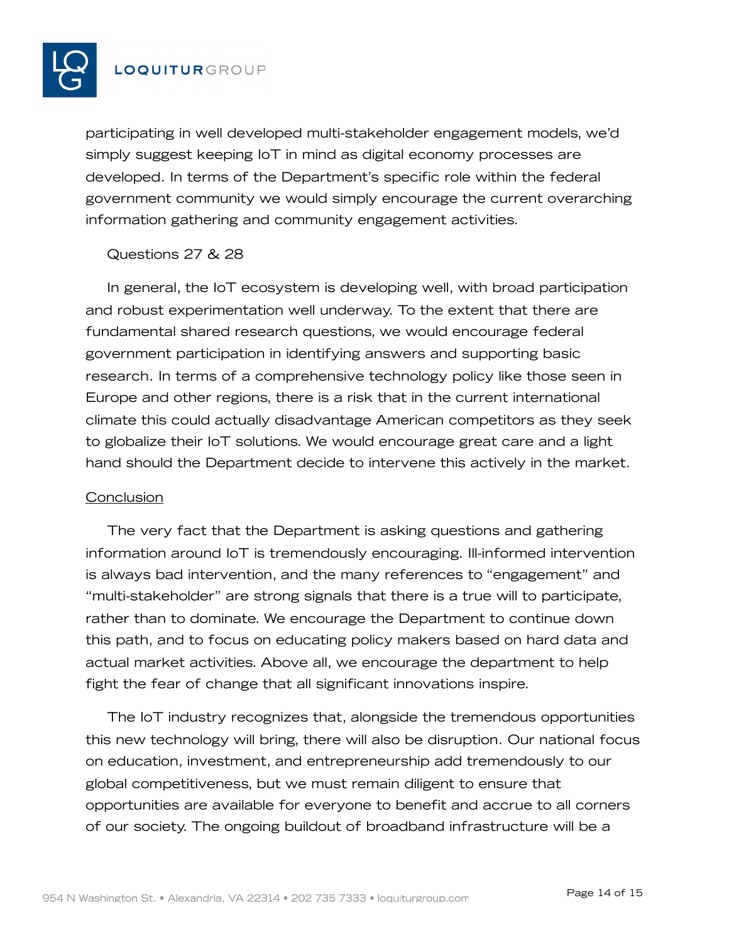

participating in well developed multi-stakeholder engagement models, we'd simply suggest keeping IoT in mind as digital economy processes are developed. In terms of the Department's specific role within the federal government community we would simply encourage the current overarching information gathering and community engagement activities.

## Questions 27 & 28

In general, the IoT ecosystem is developing well, with broad participation and robust experimentation well underway. To the extent that there are fundamental shared research questions, we would encourage federal government participation in identifying answers and supporting basic research. In terms of a comprehensive technology policy like those seen in Europe and other regions, there is a risk that in the current international climate this could actually disadvantage American competitors as they seek to globalize their IoT solutions. We would encourage great care and a light hand should the Department decide to intervene this actively in the market.

#### **Conclusion**

The very fact that the Department is asking questions and gathering information around IoT is tremendously encouraging. Ill-informed intervention is always bad intervention, and the many references to "engagement" and "multi-stakeholder" are strong signals that there is a true will to participate, rather than to dominate. We encourage the Department to continue down this path, and to focus on educating policy makers based on hard data and actual market activities. Above all, we encourage the department to help fight the fear of change that all significant innovations inspire.

The IoT industry recognizes that, alongside the tremendous opportunities this new technology will bring, there will also be disruption. Our national focus on education, investment, and entrepreneurship add tremendously to our global competitiveness, but we must remain diligent to ensure that opportunities are available for everyone to benefit and accrue to all corners of our society. The ongoing buildout of broadband infrastructure will be a